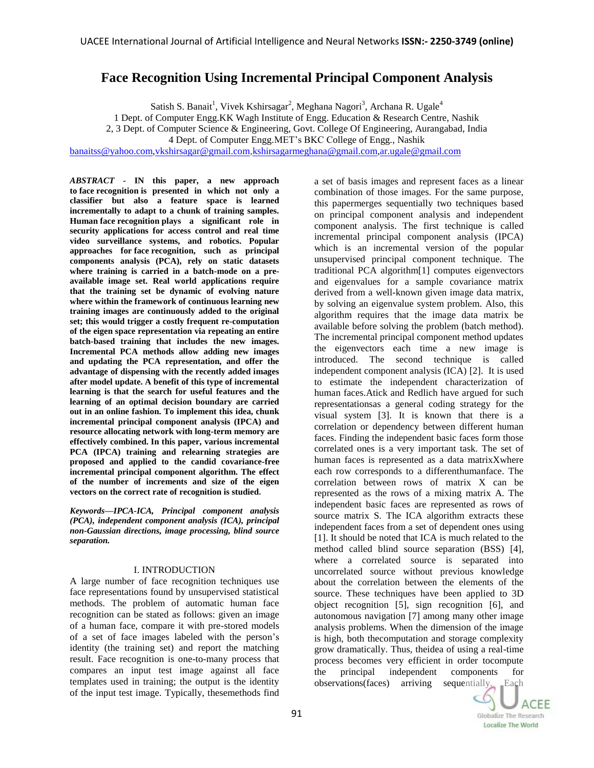# **Face Recognition Using Incremental Principal Component Analysis**

Satish S. Banait<sup>1</sup>, Vivek Kshirsagar<sup>2</sup>, Meghana Nagori<sup>3</sup>, Archana R. Ugale<sup>4</sup>

1 Dept. of Computer Engg.KK Wagh Institute of Engg. Education & Research Centre, Nashik

2, 3 Dept. of Computer Science & Engineering, Govt. College Of Engineering, Aurangabad, India

4 Dept. of Computer Engg.MET's BKC College of Engg., Nashik

[banaitss@yahoo.com,](mailto:banaitss@yahoo.com)[vkshirsagar@gmail.com](mailto:vkshirsagar@gmail.com)[,kshirsagarmeghana@gmail.com,](mailto:kshirsagarmeghana@gmail.com)[ar.ugale@gmail.com](mailto:ar.ugale@gmail.com)

*ABSTRACT -* **IN this paper, a new approach to face recognition is presented in which not only a classifier but also a feature space is learned incrementally to adapt to a chunk of training samples. Human face recognition plays a significant role in security applications for access control and real time video surveillance systems, and robotics. Popular approaches for face recognition, such as principal components analysis (PCA), rely on static datasets where training is carried in a batch-mode on a preavailable image set. Real world applications require that the training set be dynamic of evolving nature where within the framework of continuous learning new training images are continuously added to the original set; this would trigger a costly frequent re-computation of the eigen space representation via repeating an entire batch-based training that includes the new images. Incremental PCA methods allow adding new images and updating the PCA representation, and offer the advantage of dispensing with the recently added images after model update. A benefit of this type of incremental learning is that the search for useful features and the learning of an optimal decision boundary are carried out in an online fashion. To implement this idea, chunk incremental principal component analysis (IPCA) and resource allocating network with long-term memory are effectively combined. In this paper, various incremental PCA (IPCA) training and relearning strategies are proposed and applied to the candid covariance-free incremental principal component algorithm. The effect of the number of increments and size of the eigen vectors on the correct rate of recognition is studied.** 

*Keywords—IPCA-ICA, Principal component analysis (PCA), independent component analysis (ICA), principal non-Gaussian directions, image processing, blind source separation.*

# I. INTRODUCTION

A large number of face recognition techniques use face representations found by unsupervised statistical methods. The problem of automatic human face recognition can be stated as follows: given an image of a human face, compare it with pre-stored models of a set of face images labeled with the person's identity (the training set) and report the matching result. Face recognition is one-to-many process that compares an input test image against all face templates used in training; the output is the identity of the input test image. Typically, thesemethods find

a set of basis images and represent faces as a linear combination of those images. For the same purpose, this papermerges sequentially two techniques based on principal component analysis and independent component analysis. The first technique is called incremental principal component analysis (IPCA) which is an incremental version of the popular unsupervised principal component technique. The traditional PCA algorithm[1] computes eigenvectors and eigenvalues for a sample covariance matrix derived from a well-known given image data matrix, by solving an eigenvalue system problem. Also, this algorithm requires that the image data matrix be available before solving the problem (batch method). The incremental principal component method updates the eigenvectors each time a new image is introduced. The second technique is called independent component analysis (ICA) [2]. It is used to estimate the independent characterization of human faces.Atick and Redlich have argued for such representationsas a general coding strategy for the visual system [3]. It is known that there is a correlation or dependency between different human faces. Finding the independent basic faces form those correlated ones is a very important task. The set of human faces is represented as a data matrixXwhere each row corresponds to a differenthumanface. The correlation between rows of matrix X can be represented as the rows of a mixing matrix A. The independent basic faces are represented as rows of source matrix S. The ICA algorithm extracts these independent faces from a set of dependent ones using [1]. It should be noted that ICA is much related to the method called blind source separation (BSS) [4], where a correlated source is separated into uncorrelated source without previous knowledge about the correlation between the elements of the source. These techniques have been applied to 3D object recognition [5], sign recognition [6], and autonomous navigation [7] among many other image analysis problems. When the dimension of the image is high, both thecomputation and storage complexity grow dramatically. Thus, theidea of using a real-time process becomes very efficient in order tocompute the principal independent components for observations(faces) arriving sequentially. Each

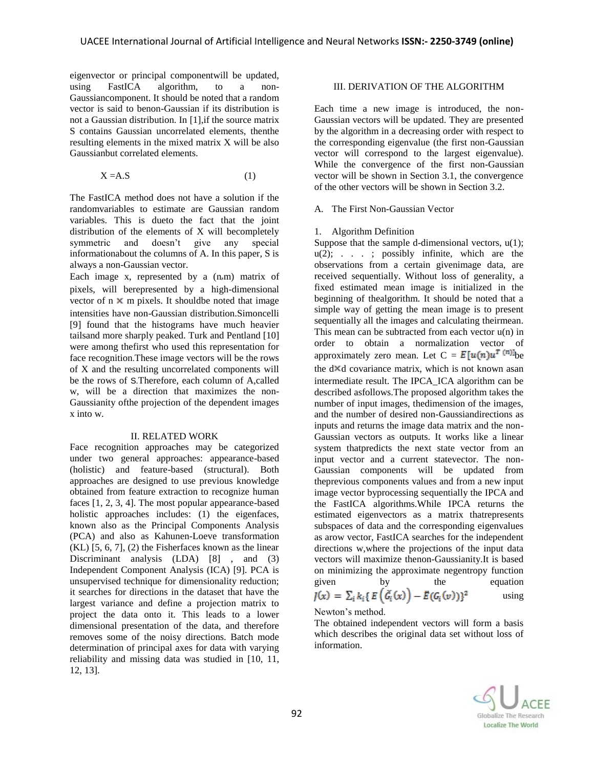eigenvector or principal componentwill be updated, using FastICA algorithm, to a non-Gaussiancomponent. It should be noted that a random vector is said to benon-Gaussian if its distribution is not a Gaussian distribution. In [1],if the source matrix S contains Gaussian uncorrelated elements, thenthe resulting elements in the mixed matrix X will be also Gaussianbut correlated elements.

$$
X = A.S
$$
 (1)

The FastICA method does not have a solution if the randomvariables to estimate are Gaussian random variables. This is dueto the fact that the joint distribution of the elements of X will becompletely symmetric and doesn't give any special informationabout the columns of A. In this paper, S is always a non-Gaussian vector.

Each image x, represented by a (n.m) matrix of pixels, will berepresented by a high-dimensional vector of  $n \times m$  pixels. It should be noted that image intensities have non-Gaussian distribution.Simoncelli [9] found that the histograms have much heavier tailsand more sharply peaked. Turk and Pentland [10] were among thefirst who used this representation for face recognition.These image vectors will be the rows of X and the resulting uncorrelated components will be the rows of S.Therefore, each column of A,called w, will be a direction that maximizes the non-Gaussianity ofthe projection of the dependent images x into w.

# II. RELATED WORK

Face recognition approaches may be categorized under two general approaches: appearance-based (holistic) and feature-based (structural). Both approaches are designed to use previous knowledge obtained from feature extraction to recognize human faces [1, 2, 3, 4]. The most popular appearance-based holistic approaches includes: (1) the eigenfaces, known also as the Principal Components Analysis (PCA) and also as Kahunen-Loeve transformation  $(KL)$  [5, 6, 7], (2) the Fisherfaces known as the linear Discriminant analysis (LDA) [8] , and (3) Independent Component Analysis (ICA) [9]. PCA is unsupervised technique for dimensionality reduction; it searches for directions in the dataset that have the largest variance and define a projection matrix to project the data onto it. This leads to a lower dimensional presentation of the data, and therefore removes some of the noisy directions. Batch mode determination of principal axes for data with varying reliability and missing data was studied in [10, 11, 12, 13].

## III. DERIVATION OF THE ALGORITHM

Each time a new image is introduced, the non-Gaussian vectors will be updated. They are presented by the algorithm in a decreasing order with respect to the corresponding eigenvalue (the first non-Gaussian vector will correspond to the largest eigenvalue). While the convergence of the first non-Gaussian vector will be shown in Section 3.1, the convergence of the other vectors will be shown in Section 3.2.

## A. The First Non-Gaussian Vector

# 1. Algorithm Definition

Suppose that the sample d-dimensional vectors,  $u(1)$ ;  $u(2)$ ; . . . ; possibly infinite, which are the observations from a certain givenimage data, are received sequentially. Without loss of generality, a fixed estimated mean image is initialized in the beginning of thealgorithm. It should be noted that a simple way of getting the mean image is to present sequentially all the images and calculating theirmean. This mean can be subtracted from each vector  $u(n)$  in order to obtain a normalization vector of approximately zero mean. Let  $C = E[u(n)u^T]$  he the  $d \times d$  covariance matrix, which is not known asan intermediate result. The IPCA\_ICA algorithm can be described asfollows.The proposed algorithm takes the number of input images, thedimension of the images, and the number of desired non-Gaussiandirections as inputs and returns the image data matrix and the non-Gaussian vectors as outputs. It works like a linear system thatpredicts the next state vector from an input vector and a current statevector. The non-Gaussian components will be updated from theprevious components values and from a new input image vector byprocessing sequentially the IPCA and the FastICA algorithms.While IPCA returns the estimated eigenvectors as a matrix thatrepresents subspaces of data and the corresponding eigenvalues as arow vector, FastICA searches for the independent directions w,where the projections of the input data vectors will maximize thenon-Gaussianity.It is based on minimizing the approximate negentropy function given by the equation<br>  $J(x) = \sum_i k_i \{ E(\tilde{G}_i(x)) - E(G_i(v)) \}^2$  using using

#### Newton's method.

The obtained independent vectors will form a basis which describes the original data set without loss of information.

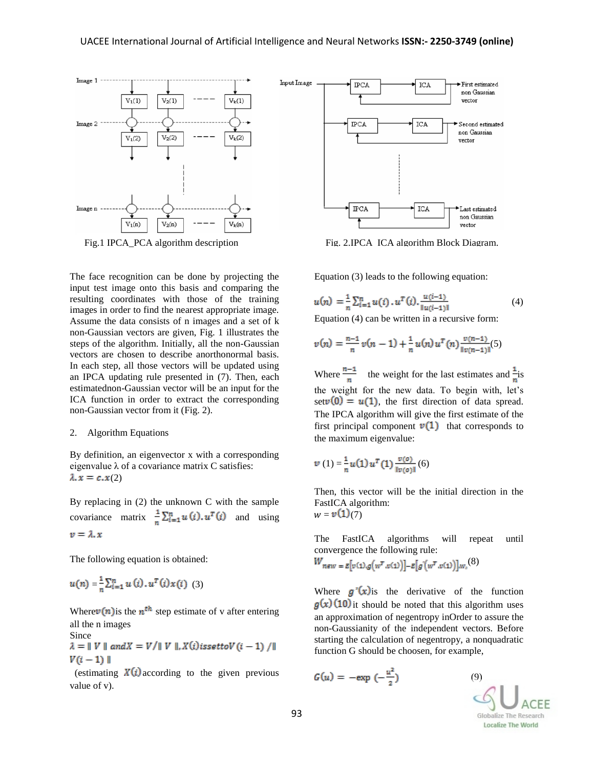

The face recognition can be done by projecting the input test image onto this basis and comparing the resulting coordinates with those of the training images in order to find the nearest appropriate image. Assume the data consists of n images and a set of k non-Gaussian vectors are given, Fig. 1 illustrates the steps of the algorithm. Initially, all the non-Gaussian vectors are chosen to describe anorthonormal basis. In each step, all those vectors will be updated using an IPCA updating rule presented in (7). Then, each estimatednon-Gaussian vector will be an input for the ICA function in order to extract the corresponding non-Gaussian vector from it (Fig. 2).

#### 2. Algorithm Equations

By definition, an eigenvector x with a corresponding eigenvalue  $\lambda$  of a covariance matrix C satisfies:  $\lambda$ <sub>x</sub> =  $c$ <sub>x</sub>(2)

By replacing in (2) the unknown C with the sample covariance matrix  $\frac{1}{n} \sum_{i=1}^{n} u(i) \cdot u^{T}(i)$  and using  $v = \lambda x$ 

The following equation is obtained:

$$
u(n) = \frac{1}{n} \sum_{i=1}^{n} u(i) \, u^{T}(i) x(i) \tag{3}
$$

Where  $v(n)$  is the  $n^{th}$  step estimate of v after entering all the n images

Since<br>  $\lambda = ||V||$  and  $X = V/||V||$ ,  $X(i)$  issettov  $(i - 1)$  /||  $V(i-1)$ 

(estimating  $X(i)$  according to the given previous value of v).



Fig. 1 IPCA PCA algorithm description Fig. 2.IPCA ICA algorithm Block Diagram.

Equation (3) leads to the following equation:

$$
u(n) = \frac{1}{n} \sum_{i=1}^{n} u(i) \cdot u^{T}(i) \cdot \frac{u(i-1)}{\|u(i-1)\|}
$$
(4)

Equation (4) can be written in a recursive form:

$$
v(n) = \frac{n-1}{n}v(n-1) + \frac{1}{n}u(n)u^{T}(n)\frac{v(n-1)}{v(n-1)}(5)
$$

Where  $\frac{n-1}{n}$  the weight for the last estimates and  $\frac{1}{n}$  is the weight for the new data. To begin with, let's set  $v(0) = u(1)$ , the first direction of data spread. The IPCA algorithm will give the first estimate of the first principal component  $v(1)$  that corresponds to the maximum eigenvalue:

$$
v(1) = \frac{1}{n} u(1) u^{T}(1) \frac{v(o)}{\|v(o)\|}(6)
$$

Then, this vector will be the initial direction in the FastICA algorithm:

 $w = \nu(1)(7)$ 

The FastICA algorithms will repeat until convergence the following rule:

$$
W_{new} = E[v(1).g(w^T.v(1))] - E[g(w^T.v(1))]w_r(8)
$$

Where  $g'(x)$  is the derivative of the function  $g(x)$  (10) it should be noted that this algorithm uses an approximation of negentropy inOrder to assure the non-Gaussianity of the independent vectors. Before starting the calculation of negentropy, a nonquadratic function G should be choosen, for example,

$$
G(u) = -\exp\left(-\frac{u^2}{2}\right)
$$

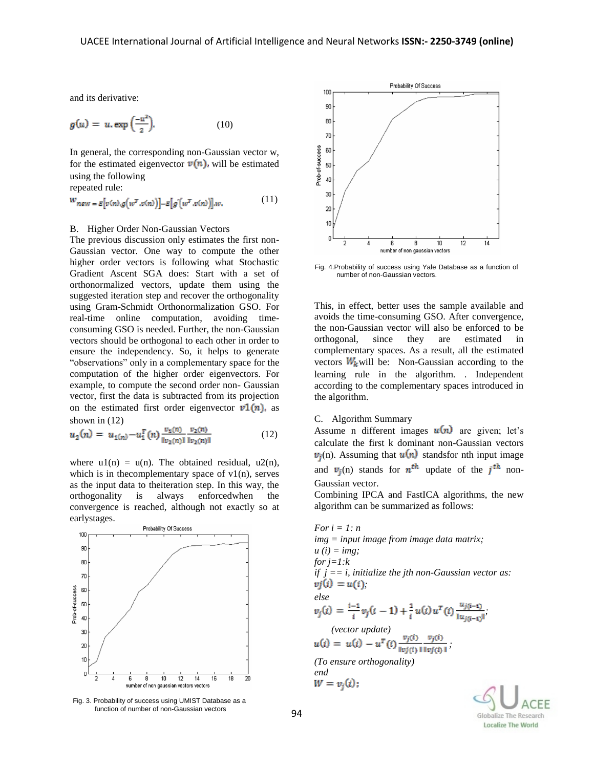and its derivative:

$$
g(u) = u \cdot \exp\left(\frac{-u^2}{2}\right). \tag{10}
$$

In general, the corresponding non-Gaussian vector w, for the estimated eigenvector  $v(n)$ , will be estimated using the following repeated rule:

$$
w_{new = E[v(n), g(w^T.v(n))] - E[g(w^T.v(n))]w.
$$
 (11)

#### B. Higher Order Non-Gaussian Vectors

The previous discussion only estimates the first non-Gaussian vector. One way to compute the other higher order vectors is following what Stochastic Gradient Ascent SGA does: Start with a set of orthonormalized vectors, update them using the suggested iteration step and recover the orthogonality using Gram-Schmidt Orthonormalization GSO. For real-time online computation, avoiding timeconsuming GSO is needed. Further, the non-Gaussian vectors should be orthogonal to each other in order to ensure the independency. So, it helps to generate "observations" only in a complementary space for the computation of the higher order eigenvectors. For example, to compute the second order non- Gaussian vector, first the data is subtracted from its projection on the estimated first order eigenvector  $v1(n)$ , as shown in (12)

$$
u_2(n) = u_{1(n)} - u_1^T(n) \frac{v_1(n)}{\|v_2(n)\|} \frac{v_2(n)}{\|v_2(n)\|}
$$
 (12)

where  $u1(n) = u(n)$ . The obtained residual,  $u2(n)$ , which is in the complementary space of  $v1(n)$ , serves as the input data to theiteration step. In this way, the orthogonality is always enforcedwhen the convergence is reached, although not exactly so at earlystages.



Fig. 3. Probability of success using UMIST Database as a function of number of non-Gaussian vectors



Fig. 4.Probability of success using Yale Database as a function of number of non-Gaussian vectors.

This, in effect, better uses the sample available and avoids the time-consuming GSO. After convergence, the non-Gaussian vector will also be enforced to be orthogonal, since they are estimated in complementary spaces. As a result, all the estimated vectors  $W_k$  will be: Non-Gaussian according to the learning rule in the algorithm. . Independent according to the complementary spaces introduced in the algorithm.

#### C. Algorithm Summary

Assume n different images  $u(n)$  are given; let's calculate the first k dominant non-Gaussian vectors  $v_i(n)$ . Assuming that  $u(n)$  standsfor nth input image and  $v_i(n)$  stands for  $n^{th}$  update of the  $i^{th}$  non-Gaussian vector.

Combining IPCA and FastICA algorithms, the new algorithm can be summarized as follows:

For 
$$
i = 1
$$
: n  
\n $img = input image from image data matrix;$   
\n $u(i) = img;$   
\nfor  $j = 1$ :k  
\nif  $j = i$ , initialize the jth non-Gaussian vector as:  
\n $vj(i) = u(i);$   
\nelse  
\n $v_j(i) = \frac{i-1}{i}v_j(i-1) + \frac{1}{i}u(i)u^T(i)\frac{u_{j(i-1)}}{||u_{j(i-1)}||}.$   
\n(*vector update*)  
\n $u(i) = u(i) - u^T(i)\frac{v_j(i)}{||u_j(i)||} \frac{v_j(i)}{||u_j(i)||};$   
\n(*To ensure orthogonality*)  
\nend  
\n $W = v_j(i).$ 

Globalize The Research **Localize The World**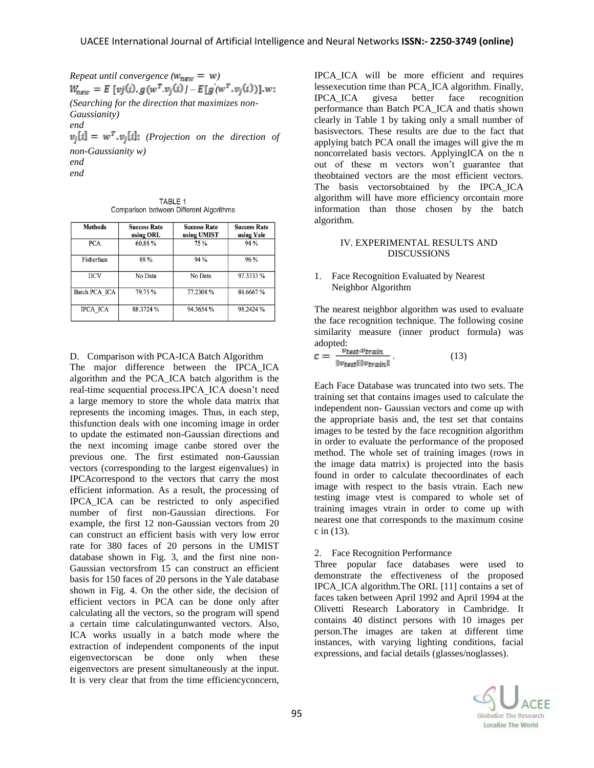*Repeat until convergence* ( $w_{new} = w$ )  $W_{\text{new}} = E [v j(i), g(w^T v_j(i)) - E[g(w^T v_j(i))], w;$ *(Searching for the direction that maximizes non-Gaussianity) end*

 $v_i[i] = w^T \cdot v_i[i]$ ; (Projection on the direction of *non-Gaussianity w) end end*

TABLE 1 Comparison between Different Algorithms

| <b>Methods</b>  | <b>Success Rate</b><br>using ORL | <b>Success Rate</b><br>using UMIST | <b>Success Rate</b><br>using Yale |
|-----------------|----------------------------------|------------------------------------|-----------------------------------|
| <b>PCA</b>      | 60.88%                           | 75 %                               | 94 %                              |
| Fisherface      | 88 %                             | 94 %                               | 96 %                              |
| <b>DCV</b>      | No Data                          | No Data                            | 97.3333 %                         |
| Batch PCA ICA   | 79.75%                           | 77.2308 %                          | 88.6667%                          |
| <b>IPCA ICA</b> | 88.3724 %                        | 94.3654 %                          | 98.2424 %                         |

D. Comparison with PCA-ICA Batch Algorithm

The major difference between the IPCA\_ICA algorithm and the PCA\_ICA batch algorithm is the real-time sequential process.IPCA\_ICA doesn't need a large memory to store the whole data matrix that represents the incoming images. Thus, in each step, thisfunction deals with one incoming image in order to update the estimated non-Gaussian directions and the next incoming image canbe stored over the previous one. The first estimated non-Gaussian vectors (corresponding to the largest eigenvalues) in IPCAcorrespond to the vectors that carry the most efficient information. As a result, the processing of IPCA\_ICA can be restricted to only aspecified number of first non-Gaussian directions. For example, the first 12 non-Gaussian vectors from 20 can construct an efficient basis with very low error rate for 380 faces of 20 persons in the UMIST database shown in Fig. 3, and the first nine non-Gaussian vectorsfrom 15 can construct an efficient basis for 150 faces of 20 persons in the Yale database shown in Fig. 4. On the other side, the decision of efficient vectors in PCA can be done only after calculating all the vectors, so the program will spend a certain time calculatingunwanted vectors. Also, ICA works usually in a batch mode where the extraction of independent components of the input eigenvectorscan be done only when these eigenvectors are present simultaneously at the input. It is very clear that from the time efficiencyconcern,

IPCA\_ICA will be more efficient and requires lessexecution time than PCA\_ICA algorithm. Finally, IPCA\_ICA givesa better face recognition performance than Batch PCA\_ICA and thatis shown clearly in Table 1 by taking only a small number of basisvectors. These results are due to the fact that applying batch PCA onall the images will give the m noncorrelated basis vectors. ApplyingICA on the n out of these m vectors won't guarantee that theobtained vectors are the most efficient vectors. The basis vectorsobtained by the IPCA\_ICA algorithm will have more efficiency orcontain more information than those chosen by the batch algorithm.

## IV. EXPERIMENTAL RESULTS AND DISCUSSIONS

#### 1. Face Recognition Evaluated by Nearest Neighbor Algorithm

The nearest neighbor algorithm was used to evaluate the face recognition technique. The following cosine similarity measure (inner product formula) was adopted:

$$
c = \frac{v_{test}.v_{train}}{\|v_{test}\| \|v_{train}\|}
$$
(13)

Each Face Database was truncated into two sets. The training set that contains images used to calculate the independent non- Gaussian vectors and come up with the appropriate basis and, the test set that contains images to be tested by the face recognition algorithm in order to evaluate the performance of the proposed method. The whole set of training images (rows in the image data matrix) is projected into the basis found in order to calculate thecoordinates of each image with respect to the basis vtrain. Each new testing image vtest is compared to whole set of training images vtrain in order to come up with nearest one that corresponds to the maximum cosine c in (13).

# 2. Face Recognition Performance

Three popular face databases were used to demonstrate the effectiveness of the proposed IPCA\_ICA algorithm.The ORL [11] contains a set of faces taken between April 1992 and April 1994 at the Olivetti Research Laboratory in Cambridge. It contains 40 distinct persons with 10 images per person.The images are taken at different time instances, with varying lighting conditions, facial expressions, and facial details (glasses/noglasses).

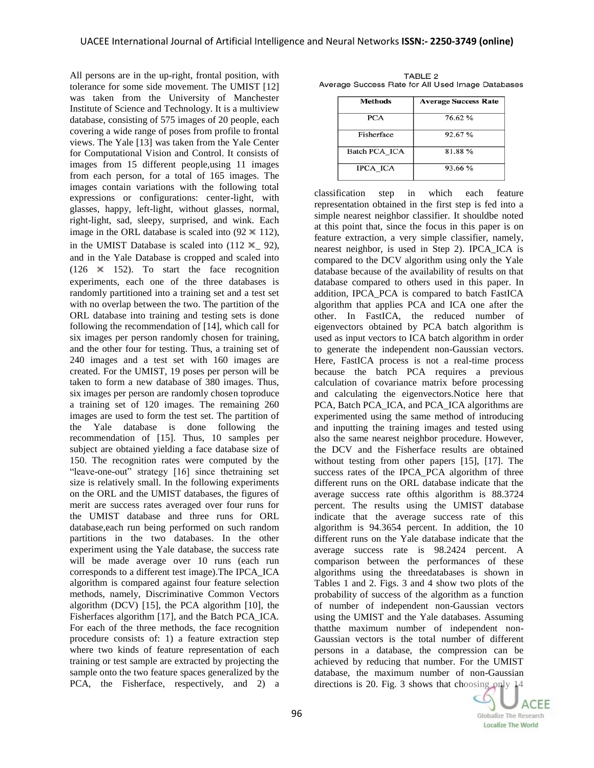All persons are in the up-right, frontal position, with tolerance for some side movement. The UMIST [12] was taken from the University of Manchester Institute of Science and Technology. It is a multiview database, consisting of 575 images of 20 people, each covering a wide range of poses from profile to frontal views. The Yale [13] was taken from the Yale Center for Computational Vision and Control. It consists of images from 15 different people,using 11 images from each person, for a total of 165 images. The images contain variations with the following total expressions or configurations: center-light, with glasses, happy, left-light, without glasses, normal, right-light, sad, sleepy, surprised, and wink. Each image in the ORL database is scaled into  $(92 \times 112)$ , in the UMIST Database is scaled into  $(112 \times 92)$ , and in the Yale Database is cropped and scaled into (126  $\times$  152). To start the face recognition experiments, each one of the three databases is randomly partitioned into a training set and a test set with no overlap between the two. The partition of the ORL database into training and testing sets is done following the recommendation of [14], which call for six images per person randomly chosen for training, and the other four for testing. Thus, a training set of 240 images and a test set with 160 images are created. For the UMIST, 19 poses per person will be taken to form a new database of 380 images. Thus, six images per person are randomly chosen toproduce a training set of 120 images. The remaining 260 images are used to form the test set. The partition of the Yale database is done following the recommendation of [15]. Thus, 10 samples per subject are obtained yielding a face database size of 150. The recognition rates were computed by the "leave-one-out" strategy [16] since thetraining set size is relatively small. In the following experiments on the ORL and the UMIST databases, the figures of merit are success rates averaged over four runs for the UMIST database and three runs for ORL database,each run being performed on such random partitions in the two databases. In the other experiment using the Yale database, the success rate will be made average over 10 runs (each run corresponds to a different test image).The IPCA\_ICA algorithm is compared against four feature selection methods, namely, Discriminative Common Vectors algorithm (DCV) [15], the PCA algorithm [10], the Fisherfaces algorithm [17], and the Batch PCA\_ICA. For each of the three methods, the face recognition procedure consists of: 1) a feature extraction step where two kinds of feature representation of each training or test sample are extracted by projecting the sample onto the two feature spaces generalized by the PCA, the Fisherface, respectively, and 2) a

| <b>Average Success Rate</b> |  |
|-----------------------------|--|
| 76.62%                      |  |
| 92.67%                      |  |
| 81.88%                      |  |
| 93.66 %                     |  |
|                             |  |

TABLE<sub>2</sub> Average Success Rate for All Used Image Databases

classification step in which each feature representation obtained in the first step is fed into a simple nearest neighbor classifier. It shouldbe noted at this point that, since the focus in this paper is on feature extraction, a very simple classifier, namely, nearest neighbor, is used in Step 2). IPCA\_ICA is compared to the DCV algorithm using only the Yale database because of the availability of results on that database compared to others used in this paper. In addition, IPCA\_PCA is compared to batch FastICA algorithm that applies PCA and ICA one after the other. In FastICA, the reduced number of eigenvectors obtained by PCA batch algorithm is used as input vectors to ICA batch algorithm in order to generate the independent non-Gaussian vectors. Here, FastICA process is not a real-time process because the batch PCA requires a previous calculation of covariance matrix before processing and calculating the eigenvectors.Notice here that PCA, Batch PCA\_ICA, and PCA\_ICA algorithms are experimented using the same method of introducing and inputting the training images and tested using also the same nearest neighbor procedure. However, the DCV and the Fisherface results are obtained without testing from other papers [15], [17]. The success rates of the IPCA\_PCA algorithm of three different runs on the ORL database indicate that the average success rate ofthis algorithm is 88.3724 percent. The results using the UMIST database indicate that the average success rate of this algorithm is 94.3654 percent. In addition, the 10 different runs on the Yale database indicate that the average success rate is 98.2424 percent. A comparison between the performances of these algorithms using the threedatabases is shown in Tables 1 and 2. Figs. 3 and 4 show two plots of the probability of success of the algorithm as a function of number of independent non-Gaussian vectors using the UMIST and the Yale databases. Assuming thatthe maximum number of independent non-Gaussian vectors is the total number of different persons in a database, the compression can be achieved by reducing that number. For the UMIST database, the maximum number of non-Gaussian directions is 20. Fig. 3 shows that choosing only 14

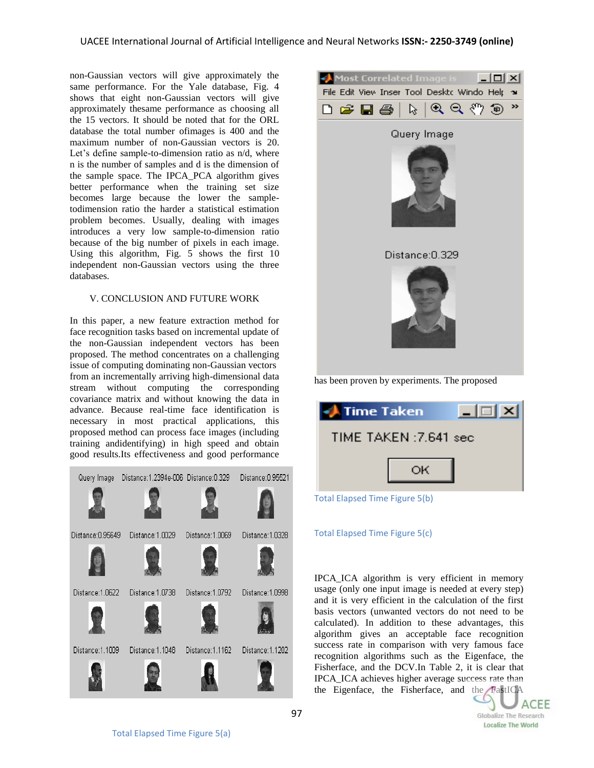non-Gaussian vectors will give approximately the same performance. For the Yale database, Fig. 4 shows that eight non-Gaussian vectors will give approximately thesame performance as choosing all the 15 vectors. It should be noted that for the ORL database the total number ofimages is 400 and the maximum number of non-Gaussian vectors is 20. Let's define sample-to-dimension ratio as n/d, where n is the number of samples and d is the dimension of the sample space. The IPCA\_PCA algorithm gives better performance when the training set size becomes large because the lower the sampletodimension ratio the harder a statistical estimation problem becomes. Usually, dealing with images introduces a very low sample-to-dimension ratio because of the big number of pixels in each image. Using this algorithm, Fig. 5 shows the first 10 independent non-Gaussian vectors using the three databases.

# V. CONCLUSION AND FUTURE WORK

In this paper, a new feature extraction method for face recognition tasks based on incremental update of the non-Gaussian independent vectors has been proposed. The method concentrates on a challenging issue of computing dominating non-Gaussian vectors from an incrementally arriving high-dimensional data stream without computing the corresponding covariance matrix and without knowing the data in advance. Because real-time face identification is necessary in most practical applications, this proposed method can process face images (including training andidentifying) in high speed and obtain good results.Its effectiveness and good performance





has been proven by experiments. The proposed

| <b>Time Taken</b>              |    | $\vert \times \vert$ |  |  |
|--------------------------------|----|----------------------|--|--|
| TIME TAKEN : 7.641 sec         |    |                      |  |  |
|                                | ОK |                      |  |  |
| Total Elapsed Time Figure 5(b) |    |                      |  |  |

# Total Elapsed Time Figure 5(c)

IPCA\_ICA algorithm is very efficient in memory usage (only one input image is needed at every step) and it is very efficient in the calculation of the first basis vectors (unwanted vectors do not need to be calculated). In addition to these advantages, this algorithm gives an acceptable face recognition success rate in comparison with very famous face recognition algorithms such as the Eigenface, the Fisherface, and the DCV.In Table 2, it is clear that IPCA\_ICA achieves higher average success rate than the Eigenface, the Fisherface, and the FastICA

**ACEE Globalize The Research Localize The World**